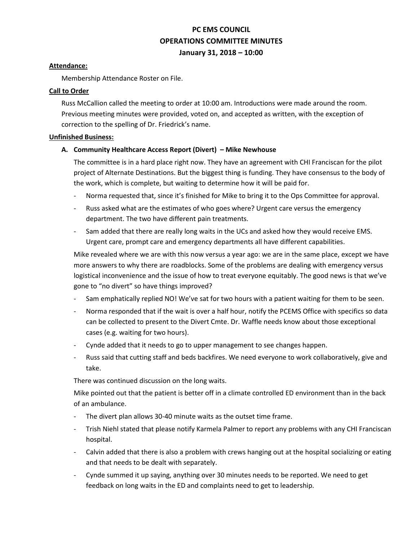# **PC EMS COUNCIL OPERATIONS COMMITTEE MINUTES January 31, 2018 – 10:00**

## **Attendance:**

Membership Attendance Roster on File.

#### **Call to Order**

Russ McCallion called the meeting to order at 10:00 am. Introductions were made around the room. Previous meeting minutes were provided, voted on, and accepted as written, with the exception of correction to the spelling of Dr. Friedrick's name.

#### **Unfinished Business:**

## **A. Community Healthcare Access Report (Divert) – Mike Newhouse**

The committee is in a hard place right now. They have an agreement with CHI Franciscan for the pilot project of Alternate Destinations. But the biggest thing is funding. They have consensus to the body of the work, which is complete, but waiting to determine how it will be paid for.

- Norma requested that, since it's finished for Mike to bring it to the Ops Committee for approval.
- Russ asked what are the estimates of who goes where? Urgent care versus the emergency department. The two have different pain treatments.
- Sam added that there are really long waits in the UCs and asked how they would receive EMS. Urgent care, prompt care and emergency departments all have different capabilities.

Mike revealed where we are with this now versus a year ago: we are in the same place, except we have more answers to why there are roadblocks. Some of the problems are dealing with emergency versus logistical inconvenience and the issue of how to treat everyone equitably. The good news is that we've gone to "no divert" so have things improved?

- Sam emphatically replied NO! We've sat for two hours with a patient waiting for them to be seen.
- Norma responded that if the wait is over a half hour, notify the PCEMS Office with specifics so data can be collected to present to the Divert Cmte. Dr. Waffle needs know about those exceptional cases (e.g. waiting for two hours).
- Cynde added that it needs to go to upper management to see changes happen.
- Russ said that cutting staff and beds backfires. We need everyone to work collaboratively, give and take.

There was continued discussion on the long waits.

Mike pointed out that the patient is better off in a climate controlled ED environment than in the back of an ambulance.

- The divert plan allows 30-40 minute waits as the outset time frame.
- Trish Niehl stated that please notify Karmela Palmer to report any problems with any CHI Franciscan hospital.
- Calvin added that there is also a problem with crews hanging out at the hospital socializing or eating and that needs to be dealt with separately.
- Cynde summed it up saying, anything over 30 minutes needs to be reported. We need to get feedback on long waits in the ED and complaints need to get to leadership.